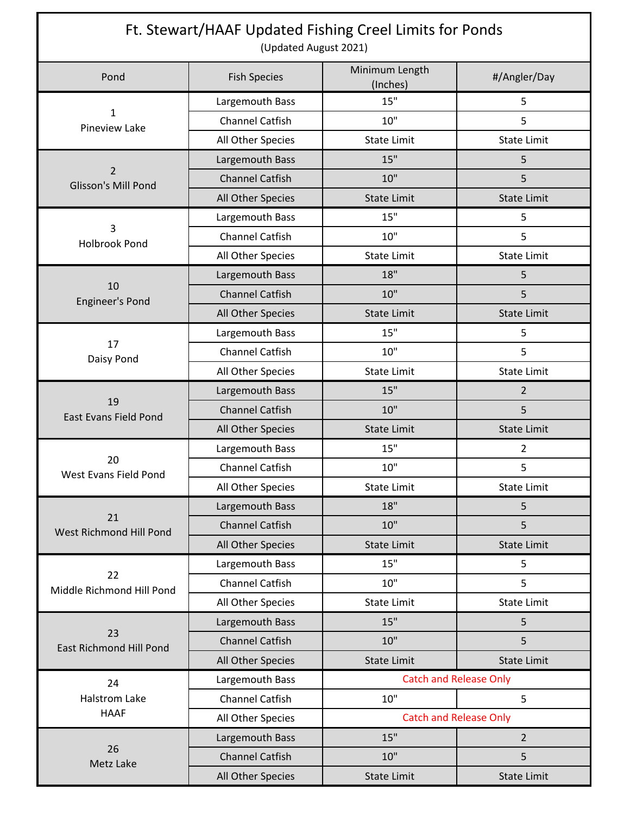| Ft. Stewart/HAAF Updated Fishing Creel Limits for Ponds<br>(Updated August 2021) |                        |                               |                    |  |
|----------------------------------------------------------------------------------|------------------------|-------------------------------|--------------------|--|
| Pond                                                                             | <b>Fish Species</b>    | Minimum Length<br>(Inches)    | #/Angler/Day       |  |
| $\mathbf{1}$<br><b>Pineview Lake</b>                                             | Largemouth Bass        | 15"                           | 5                  |  |
|                                                                                  | Channel Catfish        | 10"                           | 5                  |  |
|                                                                                  | All Other Species      | <b>State Limit</b>            | <b>State Limit</b> |  |
| $\overline{2}$<br>Glisson's Mill Pond                                            | Largemouth Bass        | 15"                           | 5                  |  |
|                                                                                  | <b>Channel Catfish</b> | 10"                           | 5                  |  |
|                                                                                  | All Other Species      | <b>State Limit</b>            | <b>State Limit</b> |  |
| 3<br><b>Holbrook Pond</b>                                                        | Largemouth Bass        | 15"                           | 5                  |  |
|                                                                                  | Channel Catfish        | 10"                           | 5                  |  |
|                                                                                  | All Other Species      | <b>State Limit</b>            | <b>State Limit</b> |  |
| 10<br><b>Engineer's Pond</b>                                                     | Largemouth Bass        | 18"                           | 5                  |  |
|                                                                                  | <b>Channel Catfish</b> | 10"                           | 5                  |  |
|                                                                                  | All Other Species      | <b>State Limit</b>            | <b>State Limit</b> |  |
|                                                                                  | Largemouth Bass        | 15"                           | 5                  |  |
| 17<br>Daisy Pond                                                                 | Channel Catfish        | 10"                           | 5                  |  |
|                                                                                  | All Other Species      | <b>State Limit</b>            | <b>State Limit</b> |  |
| 19<br><b>East Evans Field Pond</b>                                               | Largemouth Bass        | 15"                           | $\overline{2}$     |  |
|                                                                                  | <b>Channel Catfish</b> | 10"                           | 5                  |  |
|                                                                                  | All Other Species      | <b>State Limit</b>            | <b>State Limit</b> |  |
|                                                                                  | Largemouth Bass        | 15"                           | $\overline{2}$     |  |
| 20<br>West Evans Field Pond                                                      | <b>Channel Catfish</b> | 10"                           | 5                  |  |
|                                                                                  | All Other Species      | <b>State Limit</b>            | <b>State Limit</b> |  |
| 21<br>West Richmond Hill Pond                                                    | Largemouth Bass        | 18"                           | 5                  |  |
|                                                                                  | <b>Channel Catfish</b> | 10"                           | 5                  |  |
|                                                                                  | All Other Species      | <b>State Limit</b>            | <b>State Limit</b> |  |
| 22<br>Middle Richmond Hill Pond                                                  | Largemouth Bass        | 15"                           | 5                  |  |
|                                                                                  | Channel Catfish        | 10"                           | 5                  |  |
|                                                                                  | All Other Species      | <b>State Limit</b>            | <b>State Limit</b> |  |
|                                                                                  | Largemouth Bass        | 15"                           | 5                  |  |
| 23<br><b>East Richmond Hill Pond</b>                                             | <b>Channel Catfish</b> | 10"                           | 5                  |  |
|                                                                                  | All Other Species      | <b>State Limit</b>            | <b>State Limit</b> |  |
| 24<br><b>Halstrom Lake</b><br><b>HAAF</b>                                        | Largemouth Bass        | <b>Catch and Release Only</b> |                    |  |
|                                                                                  | Channel Catfish        | 10"                           | 5                  |  |
|                                                                                  | All Other Species      | <b>Catch and Release Only</b> |                    |  |
| 26<br>Metz Lake                                                                  | Largemouth Bass        | 15"                           | $\overline{2}$     |  |
|                                                                                  | <b>Channel Catfish</b> | 10"                           | 5                  |  |
|                                                                                  | All Other Species      | <b>State Limit</b>            | <b>State Limit</b> |  |